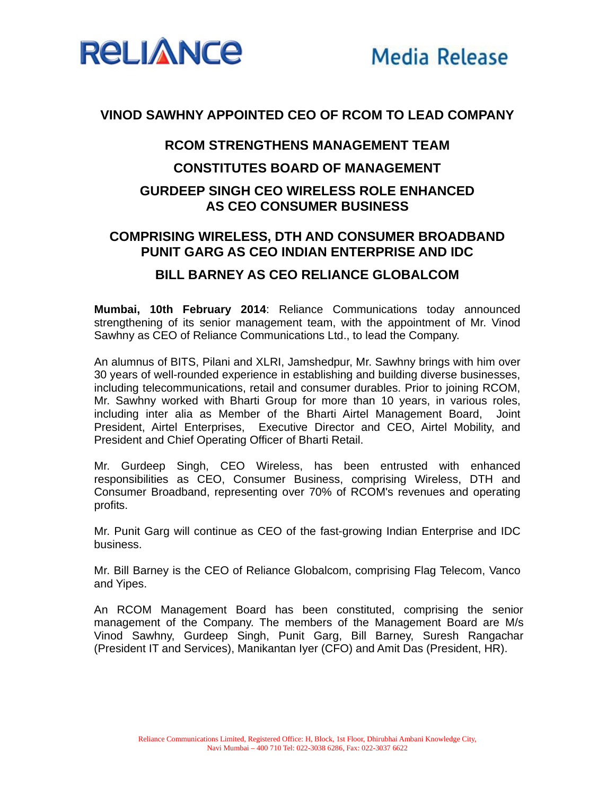

# **VINOD SAWHNY APPOINTED CEO OF RCOM TO LEAD COMPANY**

#### **RCOM STRENGTHENS MANAGEMENT TEAM**

### **CONSTITUTES BOARD OF MANAGEMENT**

### **GURDEEP SINGH CEO WIRELESS ROLE ENHANCED AS CEO CONSUMER BUSINESS**

# **COMPRISING WIRELESS, DTH AND CONSUMER BROADBAND PUNIT GARG AS CEO INDIAN ENTERPRISE AND IDC**

#### **BILL BARNEY AS CEO RELIANCE GLOBALCOM**

**Mumbai, 10th February 2014**: Reliance Communications today announced strengthening of its senior management team, with the appointment of Mr. Vinod Sawhny as CEO of Reliance Communications Ltd., to lead the Company.

An alumnus of BITS, Pilani and XLRI, Jamshedpur, Mr. Sawhny brings with him over 30 years of well-rounded experience in establishing and building diverse businesses, including telecommunications, retail and consumer durables. Prior to joining RCOM, Mr. Sawhny worked with Bharti Group for more than 10 years, in various roles, including inter alia as Member of the Bharti Airtel Management Board, Joint President, Airtel Enterprises, Executive Director and CEO, Airtel Mobility, and President and Chief Operating Officer of Bharti Retail.

Mr. Gurdeep Singh, CEO Wireless, has been entrusted with enhanced responsibilities as CEO, Consumer Business, comprising Wireless, DTH and Consumer Broadband, representing over 70% of RCOM's revenues and operating profits.

Mr. Punit Garg will continue as CEO of the fast-growing Indian Enterprise and IDC business.

Mr. Bill Barney is the CEO of Reliance Globalcom, comprising Flag Telecom, Vanco and Yipes.

An RCOM Management Board has been constituted, comprising the senior management of the Company. The members of the Management Board are M/s Vinod Sawhny, Gurdeep Singh, Punit Garg, Bill Barney, Suresh Rangachar (President IT and Services), Manikantan Iyer (CFO) and Amit Das (President, HR).